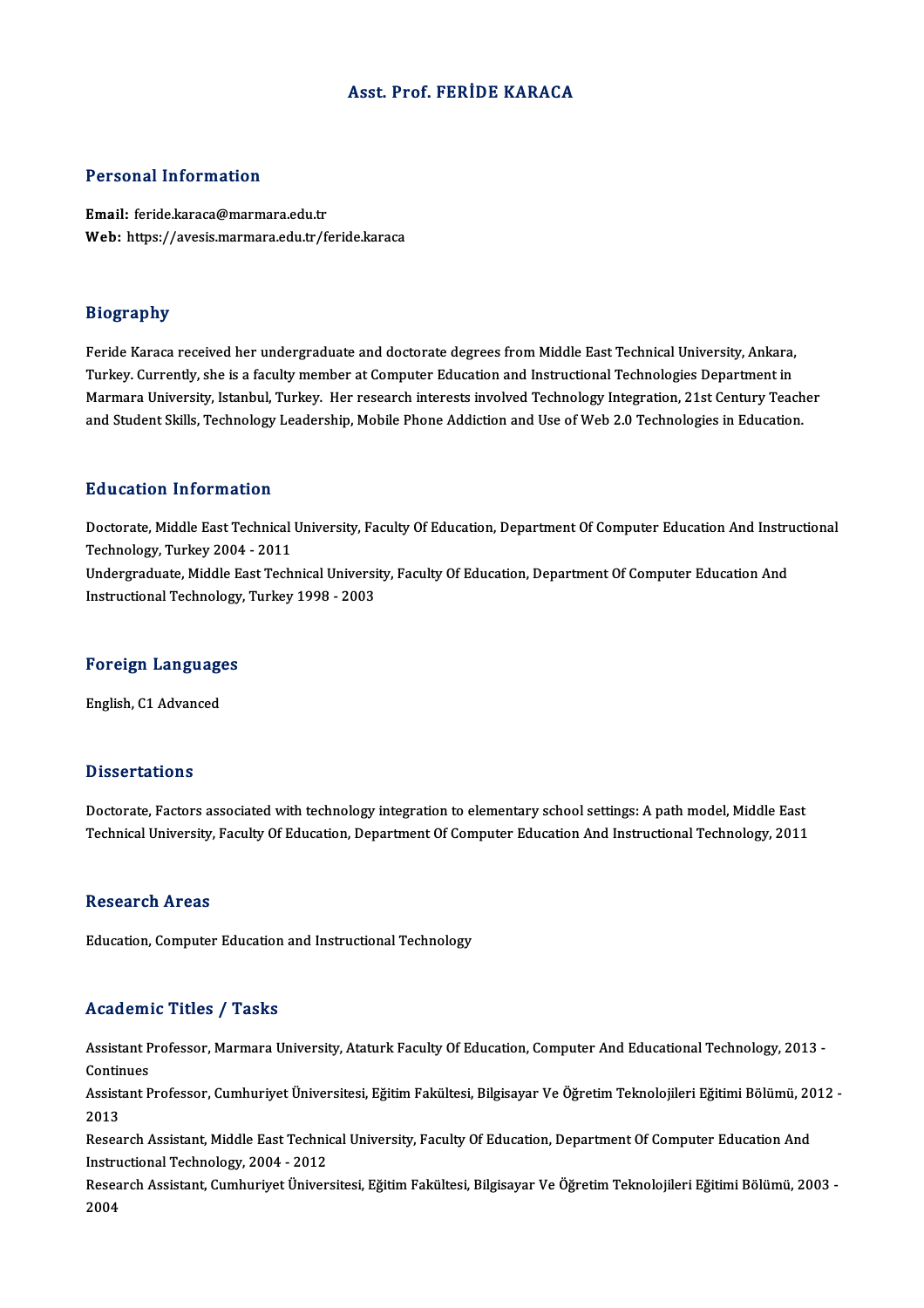#### Asst. Prof. FERİDE KARACA

#### Personal Information

Email: feride.karaca@marmara.edu.tr Web: https://avesis.marmara.edu.tr/feride.karaca

#### Biography

Feride Karaca received her undergraduate and doctorate degrees from Middle East Technical University, Ankara, Turkey. Currently, she is a faculty member at Computer Education and Instructional Technologies Department in Feride Karaca received her undergraduate and doctorate degrees from Middle East Technical University, Ankara,<br>Turkey. Currently, she is a faculty member at Computer Education and Instructional Technologies Department in<br>Ma Turkey. Currently, she is a faculty member at Computer Education and Instructional Technologies Department in<br>Marmara University, Istanbul, Turkey. Her research interests involved Technology Integration, 21st Century Teac and Student Skills, Technology Leadership, Mobile Phone Addiction and Use of Web 2.0 Technologies in Education.<br>Education Information

E**ducation Information**<br>Doctorate, Middle East Technical University, Faculty Of Education, Department Of Computer Education And Instructional<br>Technology, Turkey 2004, 2011 Technology,Turkey2004 -2011 Doctorate, Middle East Technical University, Faculty Of Education, Department Of Computer Education And Instru<br>Technology, Turkey 2004 - 2011<br>Undergraduate, Middle East Technical University, Faculty Of Education, Departmen Undergraduate, Middle East Technical University, Faculty Of Education, Department Of Computer Education And<br>Instructional Technology, Turkey 1998 - 2003

# nstructional rechnology<br>Foreign Languages <mark>Foreign Language</mark><br>English, C1 Advanced

English, C1 Advanced<br>Dissertations

Doctorate, Factors associated with technology integration to elementary school settings: A path model, Middle East Technical University, Faculty Of Education, Department Of Computer Education And Instructional Technology, 2011

#### **Research Areas**

Education, Computer Education and Instructional Technology

#### Academic Titles / Tasks

Academic Titles / Tasks<br>Assistant Professor, Marmara University, Ataturk Faculty Of Education, Computer And Educational Technology, 2013 -<br>Continues Assistant P<br>Continues<br>Assistant P Assistant Professor, Marmara University, Ataturk Faculty Of Education, Computer And Educational Technology, 2013 -<br>Continues<br>Assistant Professor, Cumhuriyet Üniversitesi, Eğitim Fakültesi, Bilgisayar Ve Öğretim Teknolojile

Contir<br>Assist<br>2013<br>Pesee Assistant Professor, Cumhuriyet Üniversitesi, Eğitim Fakültesi, Bilgisayar Ve Öğretim Teknolojileri Eğitimi Bölümü, 20<br>2013<br>Research Assistant, Middle East Technical University, Faculty Of Education, Department Of Computer

2013<br>Research Assistant, Middle East Technic<br>Instructional Technology, 2004 - 2012<br>Researsh Assistant, Cumburiyet Üniver Research Assistant, Middle East Technical University, Faculty Of Education, Department Of Computer Education And<br>Instructional Technology, 2004 - 2012<br>Research Assistant, Cumhuriyet Üniversitesi, Eğitim Fakültesi, Bilgisay

Instructional Technology, 2004 - 2012<br>Research Assistant, Cumhuriyet Üniversitesi, Eğitim Fakültesi, Bilgisayar Ve Öğretim Teknolojileri Eğitimi Bölümü, 2003 -<br>2004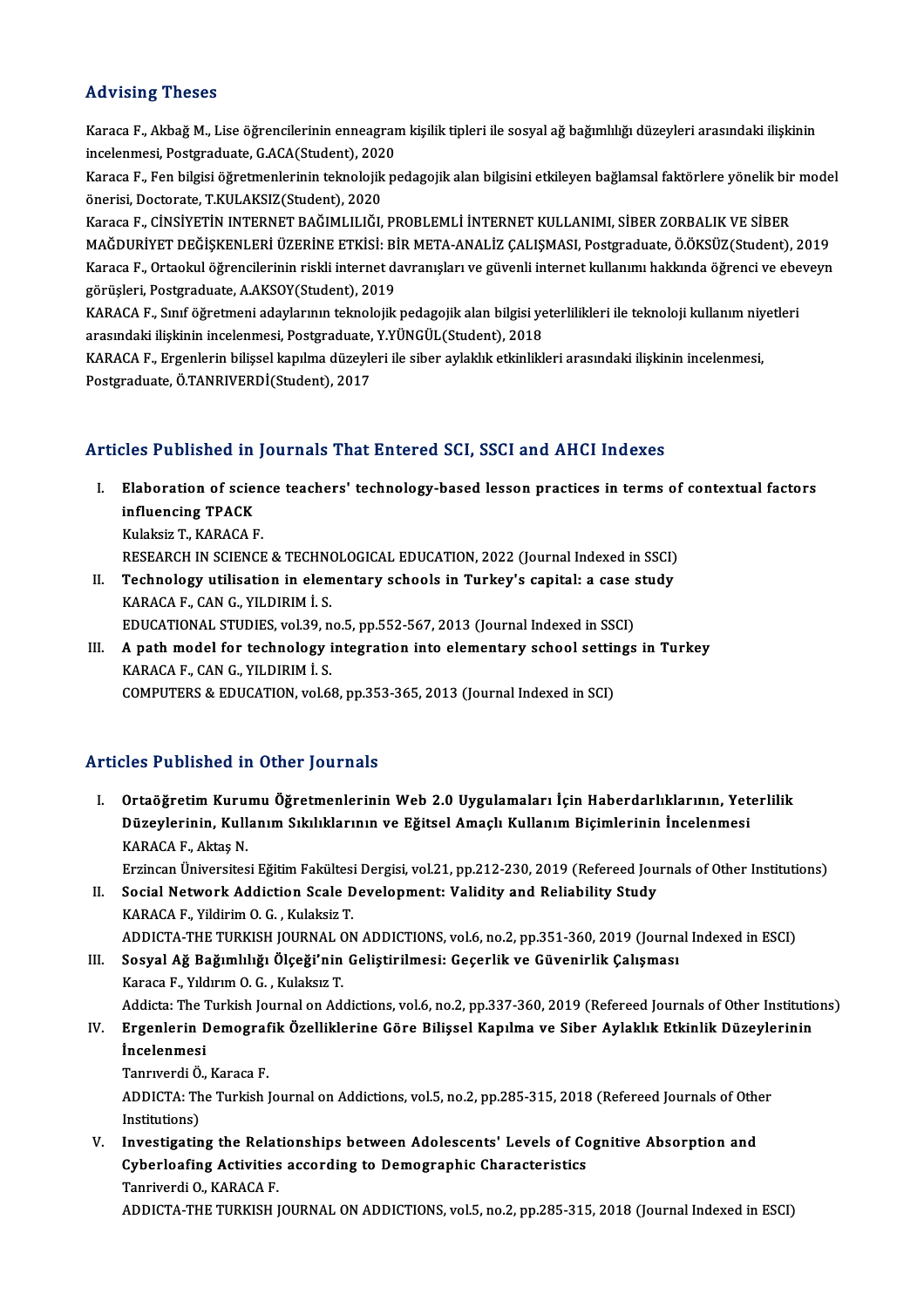## Advising Theses

Advising Theses<br>Karaca F., Akbağ M., Lise öğrencilerinin enneagram kişilik tipleri ile sosyal ağ bağımlılığı düzeyleri arasındaki ilişkinin<br>İnselenmesi, Pestanaduate *C ACA(Stude*nt), 2020 incelenmesi, Thosoco<br>Karaca F., Akbağ M., Lise öğrencilerinin enneagrar<br>incelenmesi, Postgraduate, G.ACA(Student), 2020<br>Karaca E., Ean bilgisi öğretmenlerinin telmelejik pe Karaca F., Akbağ M., Lise öğrencilerinin enneagram kişilik tipleri ile sosyal ağ bağımlılığı düzeyleri arasındaki ilişkinin<br>incelenmesi, Postgraduate, G.ACA(Student), 2020<br>Karaca F., Fen bilgisi öğretmenlerinin teknolojik

incelenmesi, Postgraduate, G.ACA(Student), 202<br>Karaca F., Fen bilgisi öğretmenlerinin teknolojik<br>önerisi, Doctorate, T.KULAKSIZ(Student), 2020<br>Karaca E. CİNSİVETİN INTERNET RAĞIMI II IĞI Karaca F., Fen bilgisi öğretmenlerinin teknolojik pedagojik alan bilgisini etkileyen bağlamsal faktörlere yönelik bir<br>önerisi, Doctorate, T.KULAKSIZ(Student), 2020<br>Karaca F., CİNSİYETİN INTERNET BAĞIMLILIĞI, PROBLEMLİ İNTE

önerisi, Doctorate, T.KULAKSIZ(Student), 2020<br>Karaca F., CİNSİYETİN INTERNET BAĞIMLILIĞI, PROBLEMLİ İNTERNET KULLANIMI, SİBER ZORBALIK VE SİBER<br>MAĞDURİYET DEĞİŞKENLERİ ÜZERİNE ETKİSİ: BİR META-ANALİZ ÇALIŞMASI, Postgraduat Karaca F., CİNSİYETİN INTERNET BAĞIMLILIĞI, PROBLEMLİ İNTERNET KULLANIMI, SİBER ZORBALIK VE SİBER<br>MAĞDURİYET DEĞİŞKENLERİ ÜZERİNE ETKİSI: BİR META-ANALİZ ÇALIŞMASI, Postgraduate, Ö.ÖKSÜZ(Student), 2019<br>Karaca F., Ortaokul MAĞDURİYET DEĞİŞKENLERİ ÜZERİNE ETKİSİ: Bİ<br>Karaca F., Ortaokul öğrencilerinin riskli internet da<br>görüşleri, Postgraduate, A.AKSOY(Student), 2019<br>KARAÇA E. Smf öğretmeni adaylanının telmelejili Karaca F., Ortaokul öğrencilerinin riskli internet davranışları ve güvenli internet kullanımı hakkında öğrenci ve ebe<br>görüşleri, Postgraduate, A.AKSOY(Student), 2019<br>KARACA F., Sınıf öğretmeni adaylarının teknolojik pedago

görüşleri, Postgraduate, A.AKSOY(Student), 2019<br>KARACA F., Sınıf öğretmeni adaylarının teknolojik pedagojik alan bilgisi ye<br>arasındaki ilişkinin incelenmesi, Postgraduate, Y.YÜNGÜL(Student), 2018<br>KARACA E. Ergenlerin bilis KARACA F., Sınıf öğretmeni adaylarının teknolojik pedagojik alan bilgisi yeterlilikleri ile teknoloji kullanım niy<br>arasındaki ilişkinin incelenmesi, Postgraduate, Y.YÜNGÜL(Student), 2018<br>KARACA F., Ergenlerin bilişsel kapı

arasındaki ilişkinin incelenmesi, Postgraduate, Y.YÜNGÜL(Student), 2018<br>KARACA F., Ergenlerin bilişsel kapılma düzeyleri ile siber aylaklık etkinlikleri arasındaki ilişkinin incelenmesi,<br>Postgraduate, Ö.TANRIVERDİ(Student)

#### Articles Published in Journals That Entered SCI, SSCI and AHCI Indexes

rticles Published in Journals That Entered SCI, SSCI and AHCI Indexes<br>I. Elaboration of science teachers' technology-based lesson practices in terms of contextual factors<br>influencing TBACK Elaboration of scie:<br>influencing TPACK<br>Evision T FARACA E Elaboration of scien<br>influencing TPACK<br>Kulaksiz T., KARACA F.<br>PESEAPCH IN SCIENCE i<mark>nfluencing TPACK</mark><br>Kulaksiz T., KARACA F.<br>RESEARCH IN SCIENCE & TECHNOLOGICAL EDUCATION, 2022 (Journal Indexed in SSCI)

II. Technology utilisation in elementary schools in Turkey's capital: a case study KARACAF.,CANG.,YILDIRIMİ.S. Technology utilisation in elementary schools in Turkey's capital: a case :<br>KARACA F., CAN G., YILDIRIM İ. S.<br>EDUCATIONAL STUDIES, vol.39, no.5, pp.552-567, 2013 (Journal Indexed in SSCI)<br>A nath model for technology integra

KARACA F., CAN G., YILDIRIM İ. S.<br>EDUCATIONAL STUDIES, vol.39, no.5, pp.552-567, 2013 (Journal Indexed in SSCI)<br>III. A path model for technology integration into elementary school settings in Turkey<br>KARACA E. CAN C. VU DIR EDUCATIONAL STUDIES, vol.39, n<br>A path model for technology i<br>KARACA F., CAN G., YILDIRIM İ. S.<br>COMPUTERS & EDUCATION vol.6 A path model for technology integration into elementary school settir<br>KARACA F., CAN G., YILDIRIM İ. S.<br>COMPUTERS & EDUCATION, vol.68, pp.353-365, 2013 (Journal Indexed in SCI) COMPUTERS & EDUCATION, vol.68, pp.353-365, 2013 (Journal Indexed in SCI)<br>Articles Published in Other Journals

I. Ortaöğretim Kurumu Öğretmenlerinin Web 2.0 Uygulamaları İçin Haberdarlıklarının, Yeterlilik SES I dösished in Sener jodrilar.<br>Ortaöğretim Kurumu Öğretmenlerinin Web 2.0 Uygulamaları İçin Haberdarlıklarının, Yet<br>Düzeylerinin, Kullanım Sıkılıklarının ve Eğitsel Amaçlı Kullanım Biçimlerinin İncelenmesi Ortaöğretim Kuru<br>Düzeylerinin, Kull<br>KARACA F., Aktaş N.<br>Errincon Üniversites KARACA F., Aktaş N.<br>Erzincan Üniversitesi Eğitim Fakültesi Dergisi, vol.21, pp.212-230, 2019 (Refereed Journals of Other Institutions)

- KARACA F., Aktaş N.<br>Erzincan Üniversitesi Eğitim Fakültesi Dergisi, vol.21, pp.212-230, 2019 (Refereed Jou<br>II. Social Network Addiction Scale Development: Validity and Reliability Study<br>KARACA E. Vildinim O.C. Kulaksis T. Erzincan Üniversitesi Eğitim Fakültesi<br>Social Network Addiction Scale D<br>KARACA F., Yildirim O.G. , Kulaksiz T.<br>ADDICTA THE TURKISH JOURNAL ON KARACA F., Yildirim O. G. , Kulaksiz T.<br>ADDICTA-THE TURKISH JOURNAL ON ADDICTIONS, vol.6, no.2, pp.351-360, 2019 (Journal Indexed in ESCI) KARACA F., Yildirim O. G. , Kulaksiz T.<br>ADDICTA-THE TURKISH JOURNAL ON ADDICTIONS, vol.6, no.2, pp.351-360, 2019 (Journa<br>III. Sosyal Ağ Bağımlılığı Ölçeği'nin Geliştirilmesi: Geçerlik ve Güvenirlik Çalışması<br>Kanaga E. Vild
- ADDICTA-THE TURKISH JOURNAL C<br>Sosyal Ağ Bağımlılığı Ölçeği'nin<br>Karaca F., Yıldırım O. G. , Kulaksız T.<br>Addista The Turkish Journal on Add Karaca F., Yıldırım O. G. , Kulaksız T.<br>Addicta: The Turkish Journal on Addictions, vol.6, no.2, pp.337-360, 2019 (Refereed Journals of Other Institutions) Karaca F., Yıldırım O. G. , Kulaksız T.<br>Addicta: The Turkish Journal on Addictions, vol.6, no.2, pp.337-360, 2019 (Refereed Journals of Other Instituti<br>IV. Ergenlerin Demografik Özelliklerine Göre Bilişsel Kapılma ve S

## Addicta: The 1<br><mark>Ergenlerin L</mark><br>İncelenmesi<br>Tanruvedi Ö Ergenlerin Demograf<br>İncelenmesi<br>Tanrıverdi Ö., Karaca F.<br>ADDICTA: The Turkish l

İncelenmesi<br>Tanrıverdi Ö., Karaca F.<br>ADDICTA: The Turkish Journal on Addictions, vol.5, no.2, pp.285-315, 2018 (Refereed Journals of Other<br>Institutions) Tanrıverdi Ö.<br>ADDICTA: Th<br>Institutions)<br>Investisatin ADDICTA: The Turkish Journal on Addictions, vol.5, no.2, pp.285-315, 2018 (Refereed Journals of Othe<br>Institutions)<br>V. Investigating the Relationships between Adolescents' Levels of Cognitive Absorption and<br>Cyberleafing Act

Institutions)<br>Investigating the Relationships between Adolescents' Levels of Co<br>Cyberloafing Activities according to Demographic Characteristics<br>Tanriverdi Q KARACA E **Investigating the Relat<br>Cyberloafing Activities<br>Tanriverdi O., KARACA F.<br>ADDICTA THE TURKISH I** Cyberloafing Activities according to Demographic Characteristics<br>Tanriverdi O., KARACA F.<br>ADDICTA-THE TURKISH JOURNAL ON ADDICTIONS, vol.5, no.2, pp.285-315, 2018 (Journal Indexed in ESCI)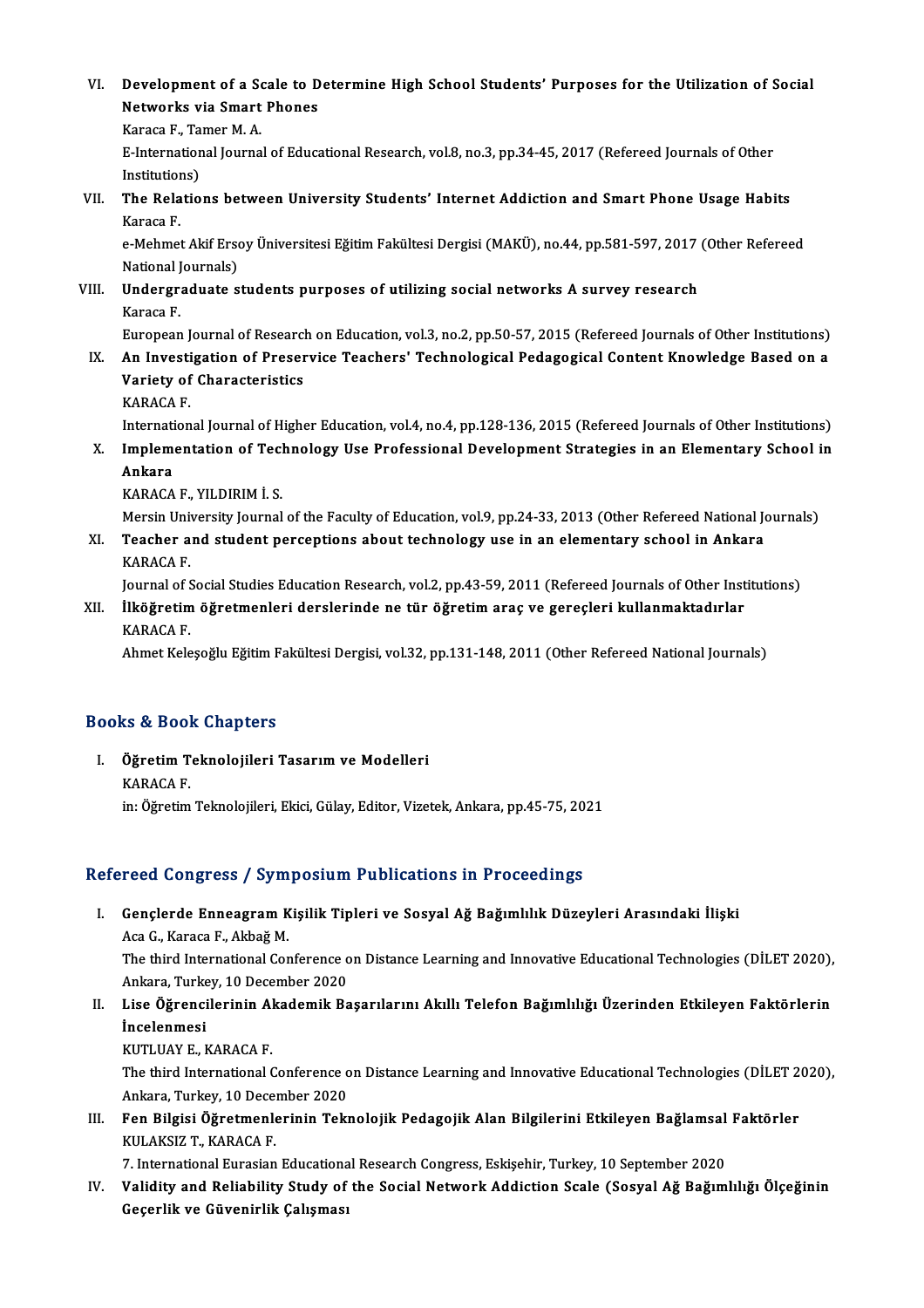- VI. Development of a Scale to Determine High School Students' Purposes for the Utilization of Social Development of a Scale to D<br>Networks via Smart Phones<br>Kanaga E. Taman M.A Development of a Se<br>Networks via Smart<br>Karaca F., Tamer M. A.<br>E International Iourne
	- Karaca F., Tamer M. A.

Networks via Smart Phones<br>Karaca F., Tamer M. A.<br>E-International Journal of Educational Research, vol.8, no.3, pp.34-45, 2017 (Refereed Journals of Other<br>Institutions) E-International Journal of Educational Research, vol.8, no.3, pp.34-45, 2017 (Refereed Journals of Other<br>Institutions)<br>VII. The Relations between University Students' Internet Addiction and Smart Phone Usage Habits<br>Karaca

Institution<br>The Rela<br>Karaca F. The Relations between University Students' Internet Addiction and Smart Phone Usage Habits<br>Karaca F.<br>e-Mehmet Akif Ersoy Üniversitesi Eğitim Fakültesi Dergisi (MAKÜ), no.44, pp.581-597, 2017 (Other Refereed<br>National Journa

Karaca F.<br>e-Mehmet Akif Erso<br>National Journals)<br>Undersreduate s e-Mehmet Akif Ersoy Üniversitesi Eğitim Fakültesi Dergisi (MAKÜ), no.44, pp.581-597, 2017<br>National Journals)<br>VIII. Undergraduate students purposes of utilizing social networks A survey research<br>Karaga E

National J<br>**Undergr**<br>Karaca F.<br>European

Karaca F.<br>European Journal of Research on Education, vol.3, no.2, pp.50-57, 2015 (Refereed Journals of Other Institutions)

Karaca F.<br>European Journal of Research on Education, vol.3, no.2, pp.50-57, 2015 (Refereed Journals of Other Institutions)<br>IX. An Investigation of Preservice Teachers' Technological Pedagogical Content Knowledge Based on a European Journal of Researc<br>An Investigation of Preser<br>Variety of Characteristics<br>KARACA E An Investi<br>Variety of<br>KARACA F.<br>Internation Variety of Characteristics<br>KARACA F.<br>International Journal of Higher Education, vol.4, no.4, pp.128-136, 2015 (Refereed Journals of Other Institutions)

KARACA F.<br>International Journal of Higher Education, vol.4, no.4, pp.128-136, 2015 (Refereed Journals of Other Institutions)<br>X. Implementation of Technology Use Professional Development Strategies in an Elementary School i Internati<br>I<mark>mplem</mark><br>Ankara<br>KARACA I<mark>mplementation of Tecl</mark><br>Ankara<br>KARACA F., YILDIRIM İ. S.<br>Morsin University Journal Ankara<br>KARACA F., YILDIRIM İ. S.<br>Mersin University Journal of the Faculty of Education, vol.9, pp.24-33, 2013 (Other Refereed National Journals)<br>Teasher and student persentions shout technology use in an elementary sebool

KARACA F., YILDIRIM İ. S.<br>Mersin University Journal of the Faculty of Education, vol.9, pp.24-33, 2013 (Other Refereed National Journal<br>XI. Teacher and student perceptions about technology use in an elementary school in An Mersin University<br>Teacher a<br>KARACA F.<br>Journal of f Teacher and student perceptions about technology use in an elementary school in Ankara<br>KARACA F.<br>Journal of Social Studies Education Research, vol.2, pp.43-59, 2011 (Refereed Journals of Other Institutions)<br>Uköğretim öğret

KARACA F.<br>Journal of Social Studies Education Research, vol.2, pp.43-59, 2011 (Refereed Journals of Other Inst<br>XII. İlköğretim öğretmenleri derslerinde ne tür öğretim araç ve gereçleri kullanmaktadırlar<br>KARACA E Journal of S<br><mark>İlköğretim</mark><br>KARACA F.<br>Abmet Kele XII. İlköğretim öğretmenleri derslerinde ne tür öğretim araç ve gereçleri kullanmaktadırlar<br>KARACA F.<br>Ahmet Keleşoğlu Eğitim Fakültesi Dergisi, vol.32, pp.131-148, 2011 (Other Refereed National Journals)

#### Books&Book Chapters

ooks & Book Chapters<br>I. Öğretim Teknolojileri Tasarım ve Modelleri<br>KARACA E to & Book<br>Öğretim T<br>KARACA F. KARACA F.<br>in: Öğretim Teknolojileri, Ekici, Gülay, Editor, Vizetek, Ankara, pp.45-75, 2021

## Refereed Congress / Symposium Publications in Proceedings

efereed Congress / Symposium Publications in Proceedings<br>I. Gençlerde Enneagram Kişilik Tipleri ve Sosyal Ağ Bağımlılık Düzeyleri Arasındaki İlişki<br>Aga C. Karaga E. Althağ M 1994 Göngi 988 7 89 m<br>Gençlerde Enneagram K<br>Aca G., Karaca F., Akbağ M.<br>The third International Cor Gençlerde Enneagram Kişilik Tipleri ve Sosyal Ağ Bağımlılık Düzeyleri Arasındaki İlişki<br>Aca G., Karaca F., Akbağ M.<br>The third International Conference on Distance Learning and Innovative Educational Technologies (DİLET 202

Aca G., Karaca F., Akbağ M.<br>The third International Conference o<br>Ankara, Turkey, 10 December 2020<br>Lise Öğrensilerinin Akademik Ba The third International Conference on Distance Learning and Innovative Educational Technologies (DİLET 2020),<br>Ankara, Turkey, 10 December 2020<br>II. Lise Öğrencilerinin Akademik Başarılarını Akıllı Telefon Bağımlılığı Üzerin

Ankara, Turkey, 10 December 2020<br>Lise Öğrencilerinin Akademik Ba<br>İncelenmesi<br>KUTLUAY E., KARACA F. II. Lise Öğrencilerinin Akademik Başarılarını Akıllı Telefon Bağımlılığı Üzerinden Etkileyen Faktörlerin

The third International Conference on Distance Learning and Innovative Educational Technologies (DİLET 2020), KUTLUAY E., KARACA F.<br>The third International Conference o<br>Ankara, Turkey, 10 December 2020<br>Een Bilgisi Öğretmanlarının Telu The third International Conference on Distance Learning and Innovative Educational Technologies (DİLET 2<br>Ankara, Turkey, 10 December 2020<br>III. Fen Bilgisi Öğretmenlerinin Teknolojik Pedagojik Alan Bilgilerini Etkileyen Bağ

Ankara, Turkey, 10 Decel<br>Fen Bilgisi Öğretmenle<br>KULAKSIZ T., KARACA F.<br>7. International Eurosian Fen Bilgisi Öğretmenlerinin Teknolojik Pedagojik Alan Bilgilerini Etkileyen Bağlamsal<br>KULAKSIZ T., KARACA F.<br>7. International Eurasian Educational Research Congress, Eskişehir, Turkey, 10 September 2020<br>Velidity and Beliab

7. International Eurasian Educational Research Congress, Eskişehir, Turkey, 10 September 2020

KULAKSIZ T., KARACA F.<br>7. International Eurasian Educational Research Congress, Eskişehir, Turkey, 10 September 2020<br>IV. Validity and Reliability Study of the Social Network Addiction Scale (Sosyal Ağ Bağımlılığı Ölçeğ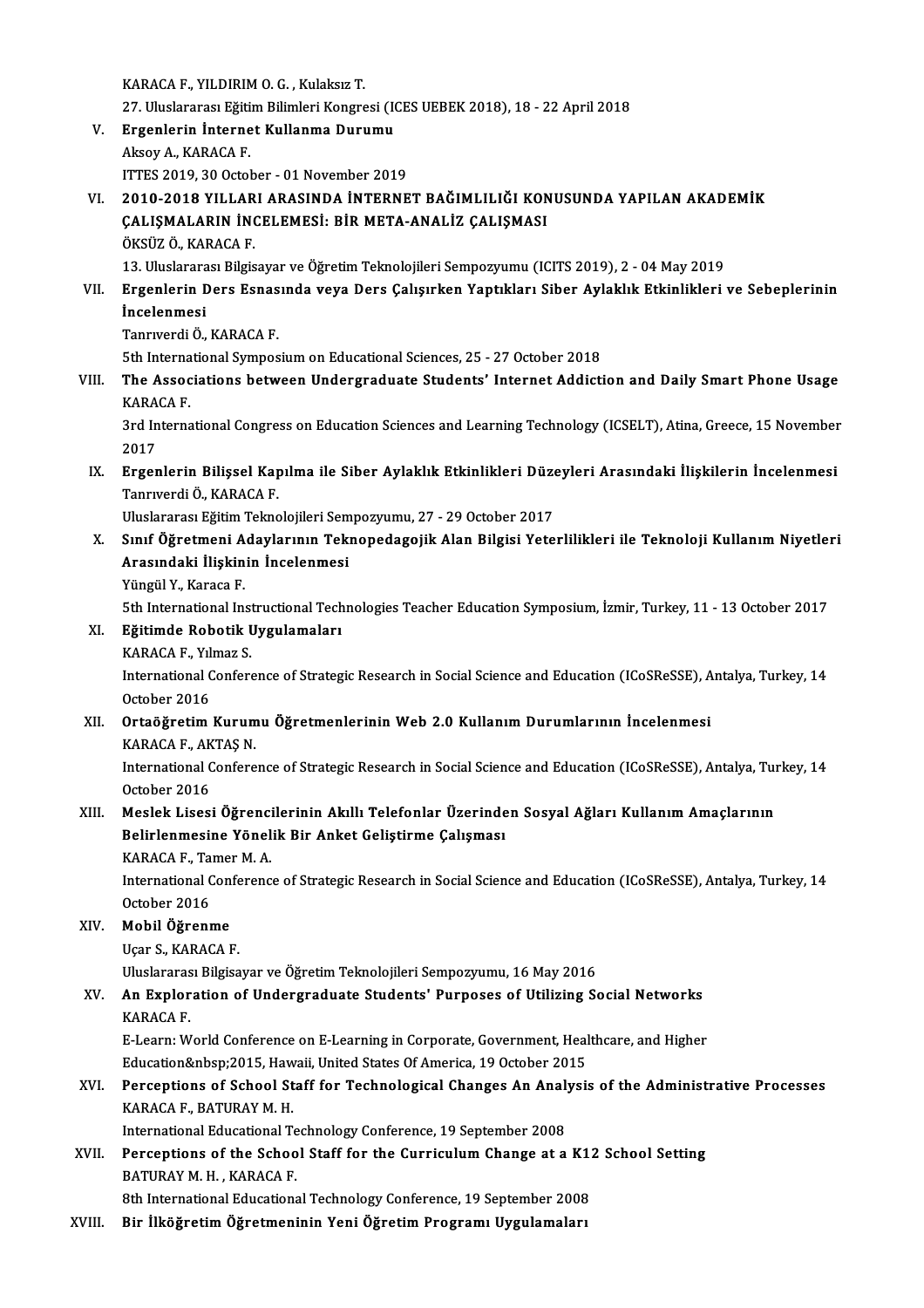KARACAF.,YILDIRIMO.G. ,KulaksızT. 27.UluslararasıEğitimBilimleriKongresi (ICESUEBEK2018),18 -22April2018 KARACA F., YILDIRIM O. G. , Kulaksız T.<br>27. Uluslararası Eğitim Bilimleri Kongresi (I)<br>V. Ergenlerin İnternet Kullanma Durumu<br>Almay A. KARACA E 27. Uluslararası Eğiti<br>Ergenlerin İnterne<br>Aksoy A., KARACA F.<br>ITTES 2010-20 Octol Ergenlerin Internet Kullanma Durumu<br>Aksoy A., KARACA F.<br>ITTES 2019, 30 October - 01 November 2019<br>2010, 2019 YILLAPI ARASINDA INTERNE Aksoy A., KARACA F.<br>ITTES 2019, 30 October - 01 November 2019<br>VI. 2010-2018 YILLARI ARASINDA İNTERNET BAĞIMLILIĞI KONUSUNDA YAPILAN AKADEMİK ITTES 2019, 30 October - 01 November 2019<br>2010-2018 YILLARI ARASINDA İNTERNET BAĞIMLILIĞI KON<br>ÇALIŞMALARIN İNCELEMESİ: BİR META-ANALİZ ÇALIŞMASI<br>ÖKSÜZ ÖLKARACA E 2010-2018 YILLAR<br>ÇALIŞMALARIN İNG<br>ÖKSÜZ Ö., KARACA F.<br>12. Uluslararası Bilgis ÇALIŞMALARIN İNCELEMESİ: BİR META-ANALİZ ÇALIŞMASI<br>ÖKSÜZ Ö., KARACA F.<br>13. Uluslararası Bilgisayar ve Öğretim Teknolojileri Sempozyumu (ICITS 2019), 2 - 04 May 2019<br>Ergenlerin Ders Esnasında yoya Ders Calisirken Yantıkları ÖKSÜZ Ö., KARACA F.<br>13. Uluslararası Bilgisayar ve Öğretim Teknolojileri Sempozyumu (ICITS 2019), 2 - 04 May 2019<br>11. Ergenlerin Ders Esnasında veya Ders Çalışırken Yaptıkları Siber Aylaklık Etkinlikleri ve Sebeplerini 13. Uluslarara<br><mark>Ergenlerin D</mark><br>İncelenmesi<br>Tannuerdi Ö Ergenlerin Ders Esnas<br>İncelenmesi<br>Tanrıverdi Ö., KARACA F.<br>Eth International Sumpes **İncelenmesi**<br>Tanrıverdi Ö., KARACA F.<br>5th International Symposium on Educational Sciences, 25 - 27 October 2018 Tanrıverdi Ö., KARACA F.<br>5th International Symposium on Educational Sciences, 25 - 27 October 2018<br>VIII. The Associations between Undergraduate Students' Internet Addiction and Daily Smart Phone Usage<br>VARACA E 5th Interna<br>The Assoc<br>KARACA F. The Associations between Undergraduate Students' Internet Addiction and Daily Smart Phone Usage<br>KARACA F.<br>3rd International Congress on Education Sciences and Learning Technology (ICSELT), Atina, Greece, 15 November<br>2017 KARACA F.<br>3rd International Congress on Education Sciences and Learning Technology (ICSELT), Atina, Greece, 15 November<br>2017 3rd International Congress on Education Sciences and Learning Technology (ICSELT), Atina, Greece, 15 November<br>2017<br>IX. Ergenlerin Bilişsel Kapılma ile Siber Aylaklık Etkinlikleri Düzeyleri Arasındaki İlişkilerin İncelenmes 2017<br><mark>Ergenlerin Bilişsel Kap</mark><br>Tanrıverdi Ö., KARACA F.<br>Uluslararası Fğitim Talma Ergenlerin Bilişsel Kapılma ile Siber Aylaklık Etkinlikleri Düze<br>Tanrıverdi Ö., KARACA F.<br>Uluslararası Eğitim Teknolojileri Sempozyumu, 27 - 29 October 2017<br>Sınıf Öğretmeni Adevlerunu Teknonedegeijk Alan Bilgisi Yete Tanrıverdi Ö., KARACA F.<br>Uluslararası Eğitim Teknolojileri Sempozyumu, 27 - 29 October 2017<br>X. Sınıf Öğretmeni Adaylarının Teknopedagojik Alan Bilgisi Yeterlilikleri ile Teknoloji Kullanım Niyetleri<br>Arasındaki İliskinin İn Uluslararası Eğitim Teknolojileri Sempozyumu, 27 - 29 October 2017<br>Sınıf Öğretmeni Adaylarının Teknopedagojik Alan Bilgisi Yete<br>Arasındaki İlişkinin İncelenmesi<br>Yüngül Y., Karaca F. Sınıf Öğretmeni A<br>Arasındaki İlişkin<br>Yüngül Y., Karaca F.<br>Eth International In Arasındaki İlişkinin İncelenmesi<br>Yüngül Y., Karaca F.<br>5th International Instructional Technologies Teacher Education Symposium, İzmir, Turkey, 11 - 13 October 2017<br>Fğitimde Bebetik Uygulamaları XI. Eğitimde Robotik Uygulamaları 5th International Inst<br>Eğitimde Robotik I<br>KARACA F., Yılmaz S.<br>International Confore International Conference of Strategic Research in Social Science and Education (ICoSReSSE), Antalya, Turkey, 14<br>October 2016 KARACA F., Yılmaz S. International Conference of Strategic Research in Social Science and Education (ICoSReSSE), A<br>October 2016<br>XII. Ortaöğretim Kurumu Öğretmenlerinin Web 2.0 Kullanım Durumlarının İncelenmesi<br>KARAÇA E. AKTAS N October 2016<br><mark>Ortaöğretim Kurum</mark><br>KARACA F., AKTAŞ N.<br>International Cenfere Ortaöğretim Kurumu Öğretmenlerinin Web 2.0 Kullanım Durumlarının İncelenmesi<br>KARACA F., AKTAŞ N.<br>International Conference of Strategic Research in Social Science and Education (ICoSReSSE), Antalya, Turkey, 14<br>Ostabar 2016 KARACA F., AK<br>International C<br>October 2016<br>Mealek Lisesi International Conference of Strategic Research in Social Science and Education (ICoSReSSE), Antalya, Turk October 2016<br>XIII. Meslek Lisesi Öğrencilerinin Akıllı Telefonlar Üzerinden Sosyal Ağları Kullanım Amaçlarının<br>Ralin October 2016<br>Meslek Lisesi Öğrencilerinin Akıllı Telefonlar Üzerinde<br>Belirlenmesine Yönelik Bir Anket Geliştirme Çalışması Meslek Lisesi Öğrenci<br>Belirlenmesine Yönel<br>KARACA F., Tamer M. A.<br>International Conferenc Belirlenmesine Yönelik Bir Anket Geliştirme Çalışması<br>KARACA F., Tamer M. A.<br>International Conference of Strategic Research in Social Science and Education (ICoSReSSE), Antalya, Turkey, 14<br>October 2016 KARACA F., Tamer M. A. International Con<br>October 2016<br>XIV. **Mobil Öğrenme** October 2016<br><mark>Mobil Öğrenme</mark><br>Uçar S., KARACA F.<br>Uluslararası Bilgisa Uçar S., KARACA F.<br>Uluslararası Bilgisayar ve Öğretim Teknolojileri Sempozyumu, 16 May 2016 Uçar S., KARACA F.<br>Uluslararası Bilgisayar ve Öğretim Teknolojileri Sempozyumu, 16 May 2016<br>XV. An Exploration of Undergraduate Students' Purposes of Utilizing Social Networks<br>KARACA E Uluslararas<br>**An Explor<br>KARACA F.**<br>E Learn W An Exploration of Undergraduate Students' Purposes of Utilizing Social Networks<br>KARACA F.<br>E-Learn: World Conference on E-Learning in Corporate, Government, Healthcare, and Higher<br>Education&phap:2015, Houraii United States KARACA F.<br>E-Learn: World Conference on E-Learning in Corporate, Government, Healthcare, and Higher<br>Education&nbsp;2015, Hawaii, United States Of America, 19 October 2015 E-Learn: World Conference on E-Learning in Corporate, Government, Healthcare, and Higher<br>Education&nbsp;2015, Hawaii, United States Of America, 19 October 2015<br>XVI. Perceptions of School Staff for Technological Changes An Education 2015, Haw<br>Perceptions of School St<br>KARACA F., BATURAY M. H.<br>International Educational T Perceptions of School Staff for Technological Changes An Analy<br>KARACA F., BATURAY M. H.<br>International Educational Technology Conference, 19 September 2008<br>Persentions of the School Staff for the Curriculum Change at a KARACA F., BATURAY M. H.<br>International Educational Technology Conference, 19 September 2008<br>XVII. Perceptions of the School Staff for the Curriculum Change at a K12 School Setting<br>PATIRAY M. H. KARACA E International Educational Te<br>Perceptions of the Schoo<br>BATURAY M. H. , KARACA F.<br><sup>9th International Educations</sup> Perceptions of the School Staff for the Curriculum Change at a K1:<br>BATURAY M. H. , KARACA F.<br>8th International Educational Technology Conference, 19 September 2008<br>Pin Ultöğretim Öğretmeninin Veni Öğretim Pregnamı Uygulama BATURAY M. H. , KARACA F.<br>8th International Educational Technology Conference, 19 September 2008<br>XVIII. Bir İlköğretim Öğretmeninin Yeni Öğretim Programı Uygulamaları